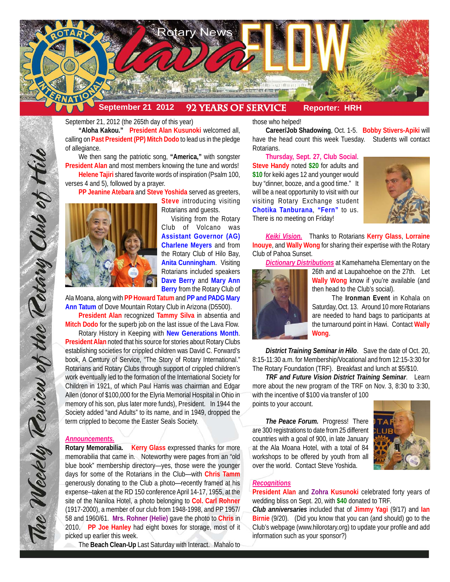

September 21, 2012 (the 265th day of this year)

**"Aloha Kakou." President Alan Kusunoki** welcomed all, calling on **Past President (PP) Mitch Dodo** to lead us in the pledge of allegiance.

We then sang the patriotic song, **"America,"** with songster **President Alan** and most members knowing the tune and words! **Helene Tajiri** shared favorite words of inspiration (Psalm 100, verses 4 and 5), followed by a prayer.

**PP Jeanine Atebara** and **Steve Yoshida** served as greeters,



**Steve** introducing visiting Rotarians and guests.

Visiting from the Rotary Club of Volcano was **Assistant Governor (AG) Charlene Meyers** and from the Rotary Club of Hilo Bay, **Anita Cunningham**. Visiting Rotarians included speakers **Dave Berry** and **Mary Ann Berry** from the Rotary Club of

Ala Moana, along with **PP Howard Tatum** and **PP and PADG Mary Ann Tatum** of Dove Mountain Rotary Club in Arizona (D5500).

**President Alan** recognized **Tammy Silva** in absentia and **Mitch Dodo** for the superb job on the last issue of the Lava Flow. Rotary History in Keeping with **New Generations Month**. **President Alan** noted that his source for stories about Rotary Clubs establishing societies for crippled children was David C. Forward's book, A Century of Service, "The Story of Rotary International." Rotarians and Rotary Clubs through support of crippled children's work eventually led to the formation of the International Society for Children in 1921, of which Paul Harris was chairman and Edgar Allen (donor of \$100,000 for the Elyria Memorial Hospital in Ohio in memory of his son, plus later more funds), President. In 1944 the Society added "and Adults" to its name, and in 1949, dropped the term crippled to become the Easter Seals Society.

## *Announcements.*

The Weekly Review of the Rotary Club of Hilo

**Rotary Memorabilia. Kerry Glass** expressed thanks for more memorabilia that came in. Noteworthy were pages from an "old blue book" membership directory—yes, those were the younger days for some of the Rotarians in the Club—with **Chris Tamm** generously donating to the Club a photo—recently framed at his expense--taken at the RD 150 conference April 14-17, 1955, at the site of the Naniloa Hotel, a photo belonging to **Col. Carl Rohner** (1917-2000), a member of our club from 1948-1998, and PP 1957/ 58 and 1960/61. **Mrs. Rohner (Helie)** gave the photo to **Chris** in 2010. **PP Joe Hanley** had eight boxes for storage, most of it picked up earlier this week.

The **Beach Clean-Up** Last Saturday with Interact. Mahalo to

those who helped!

**Career/Job Shadowing**, Oct. 1-5. **Bobby Stivers-Apiki** will have the head count this week Tuesday. Students will contact Rotarians.

**Thursday, Sept. 27, Club Social**. **Steve Handy** noted **\$20** for adults and **\$10** for keiki ages 12 and younger would buy "dinner, booze, and a good time." It will be a neat opportunity to visit with our visiting Rotary Exchange student **Chotika Tanburana**, **"Fern"** to us. There is no meeting on Friday!



*Keiki Vision.* Thanks to Rotarians **Kerry Glass**, **Lorraine Inouye**, and **Wally Wong** for sharing their expertise with the Rotary Club of Pahoa Sunset.

*Dictionary Distributions* at Kamehameha Elementary on the



26th and at Laupahoehoe on the 27th. Let **Wally Wong** know if you're available (and then head to the Club's social).

The **Ironman Event** in Kohala on Saturday, Oct. 13. Around 10 more Rotarians are needed to hand bags to participants at the turnaround point in Hawi. Contact **Wally Wong**.

*District Training Seminar in Hilo*. Save the date of Oct. 20, 8:15-11:30 a.m. for Membership/Vocational and from 12:15-3:30 for The Rotary Foundation (TRF). Breakfast and lunch at \$5/\$10.

*TRF and Future Vision District Training Seminar*. Learn more about the new program of the TRF on Nov. 3, 8:30 to 3:30, with the incentive of \$100 via transfer of 100 points to your account.

*The Peace Forum.* Progress! There are 300 registrations to date from 25 different countries with a goal of 900, in late January at the Ala Moana Hotel, with a total of 84 workshops to be offered by youth from all over the world. Contact Steve Yoshida.



# *Recognitions*

**President Alan** and **Zohra Kusunoki** celebrated forty years of wedding bliss on Sept. 20, with **\$40** donated to TRF.

*Club anniversaries* included that of **Jimmy Yagi** (9/17) and **Ian Birnie** (9/20). (Did you know that you can (and should) go to the Club's webpage (www.hilorotary.org) to update your profile and add information such as your sponsor?)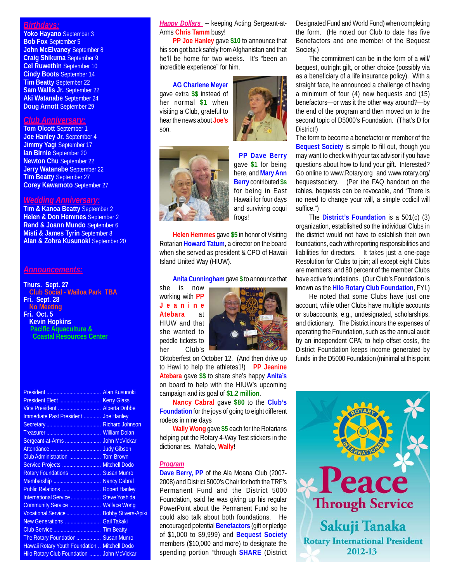# *Birthdays:*

**Yoko Hayano** September 3 **Bob Fox** September 5 **John McElvaney** September 8 **Craig Shikuma** September 9 **Cel Ruwethin** September 10 **Cindy Boots** September 14 **Tim Beatty** September 22 **Sam Wallis Jr.** September 22 **Aki Watanabe** September 24 **Doug Arnott** September 29

# *Club Anniversary:*

**Tom Olcott** September 1 **Joe Hanley Jr.** September 4 **Jimmy Yagi** September 17 **Ian Birnie** September 20 **Newton Chu** September 22 **Jerry Watanabe** September 22 **Tim Beatty** September 27 **Corey Kawamoto** September 27

## *Wedding Anniversary:*

**Tim & Kanoa Beatty** September 2 **Helen & Don Hemmes** September 2 **Rand & Joann Mundo** September 6 **Misti & James Tyrin** September 8 **Alan & Zohra Kusunoki** September 20

### *Announcements:*

**Thurs. Sept. 27 Club Social - Wailoa Park TBA Fri. Sept. 28 No Meeting Fri. Oct. 5 Kevin Hopkins Pacific Aquaculture & Coastal Resources Center**

| Immediate Past President  Joe Hanley          |
|-----------------------------------------------|
|                                               |
|                                               |
|                                               |
|                                               |
| Club Administration  Tom Brown                |
| Service Projects  Mitchell Dodo               |
| Rotary Foundations  Susan Munro               |
| Membership  Nancy Cabral                      |
| Public Relations  Robert Hanley               |
| International Service  Steve Yoshida          |
| Community Service  Wallace Wong               |
| Vocational Service  Bobby Stivers-Apiki       |
| New Generations  Gail Takaki                  |
|                                               |
| The Rotary Foundation  Susan Munro            |
| Hawaii Rotary Youth Foundation  Mitchell Dodo |
| Hilo Rotary Club Foundation  John McVickar    |
|                                               |

**Happy Dollars** -- keeping Acting Sergeant-at-Arms **Chris Tamm** busy!

**PP Joe Hanley** gave **\$10** to announce that his son got back safely from Afghanistan and that he'll be home for two weeks. It's "been an incredible experience" for him.

**AG Charlene Meyer** gave extra **\$\$** instead of her normal **\$1** when visiting a Club, grateful to hear the news about **Joe's** son.





**PP Dave Berry** gave **\$1** for being here, and **Mary Ann Berry** contributed **\$s** for being in East Hawaii for four days and surviving coqui frogs!

**Helen Hemmes** gave **\$5** in honor of Visiting Rotarian **Howard Tatum**, a director on the board when she served as president & CPO of Hawaii Island United Way (HIUW).

#### **Anita Cunningham** gave **\$** to announce that

she is now working with **PP Jeanine Atebara** at HIUW and that she wanted to peddle tickets to her Club's



Oktoberfest on October 12. (And then drive up to Hawi to help the athletes1!) **PP Jeanine Atebara** gave **\$\$** to share she's happy **Anita's** on board to help with the HIUW's upcoming campaign and its goal of **\$1.2 million**.

**Nancy Cabral** gave **\$80** to the **Club's Foundation** for the joys of going to eight different rodeos in nine days

**Wally Wong** gave **\$5** each for the Rotarians helping put the Rotary 4-Way Test stickers in the dictionaries. Mahalo, **Wally**!

#### *Program*

**Dave Berry, PP** of the Ala Moana Club (2007- 2008) and District 5000's Chair for both the TRF's Permanent Fund and the District 5000 Foundation, said he was giving up his regular PowerPoint about the Permanent Fund so he could also talk about both foundations. He encouraged potential **Benefactors** (gift or pledge of \$1,000 to \$9,999) and **Bequest Society** members (\$10,000 and more) to designate the spending portion "through **SHARE** (District Designated Fund and World Fund) when completing the form. (He noted our Club to date has five Benefactors and one member of the Bequest Society.)

The commitment can be in the form of a will/ bequest, outright gift, or other choice (possibly via as a beneficiary of a life insurance policy). With a straight face, he announced a challenge of having a minimum of four (4) new bequests and (15) benefactors—or was it the other way around?—by the end of the program and then moved on to the second topic of D5000's Foundation. (That's D for District!)

The form to become a benefactor or member of the **Bequest Society** is simple to fill out, though you may want to check with your tax advisor if you have questions about how to fund your gift. Interested? Go online to www.Rotary.org and www.rotary.org/ bequestsociety. (Per the FAQ handout on the tables, bequests can be revocable, and "There is no need to change your will, a simple codicil will suffice.")

The **District's Foundation** is a 501(c) (3) organization, established so the individual Clubs in the district would not have to establish their own foundations, each with reporting responsibilities and liabilities for directors. It takes just a one-page Resolution for Clubs to join; all except eight Clubs are members; and 80 percent of the member Clubs have active foundations. (Our Club's Foundation is known as the **Hilo Rotary Club Foundation**, FYI.)

He noted that some Clubs have just one account, while other Clubs have multiple accounts or subaccounts, e.g., undesignated, scholarships, and dictionary. The District incurs the expenses of operating the Foundation, such as the annual audit by an independent CPA; to help offset costs, the District Foundation keeps income generated by funds in the D5000 Foundation (minimal at this point